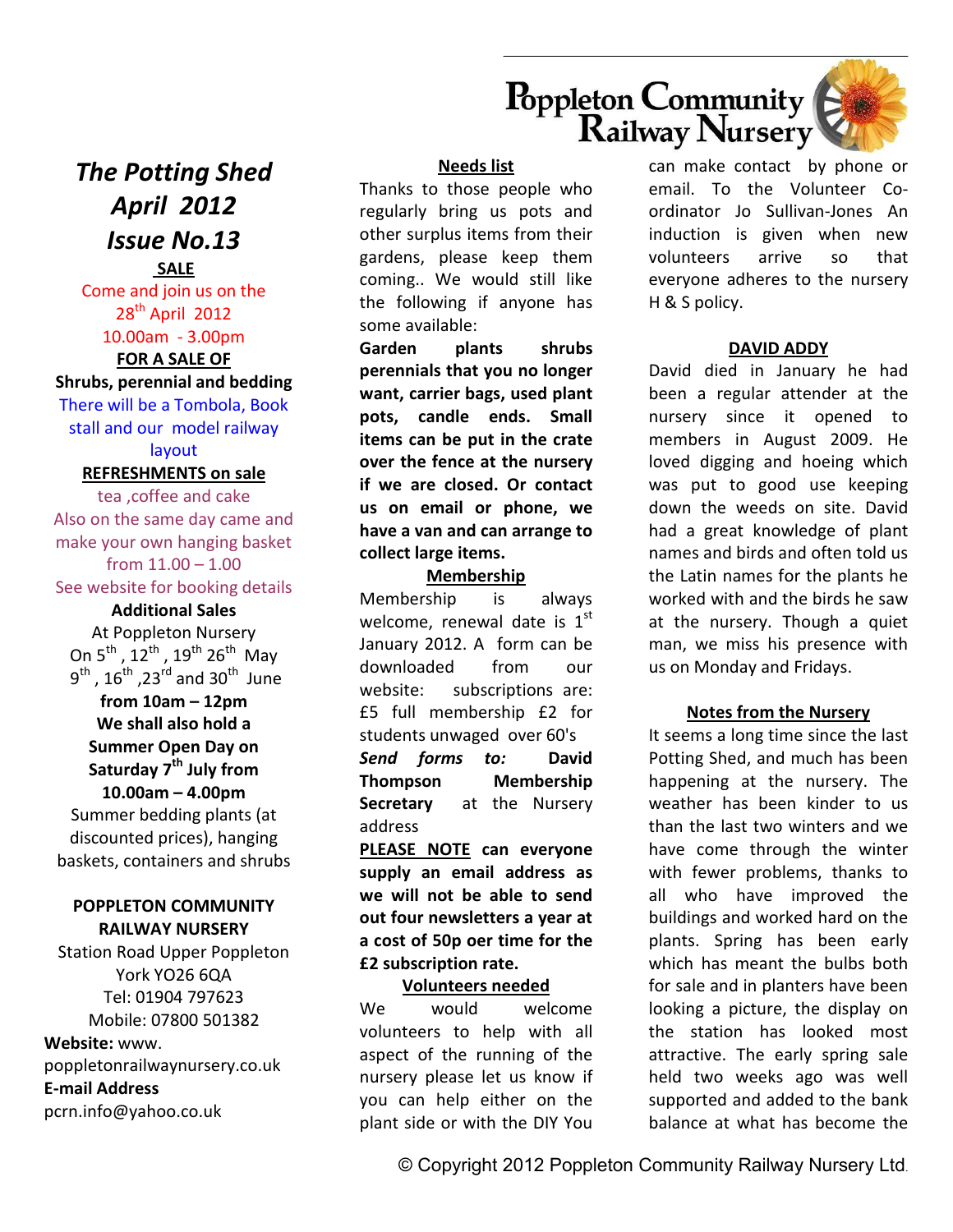



*The Potting Shed April 2012 Issue No.13* 

## **SALE**  Come and join us on the 28<sup>th</sup> April 2012 10.00am - 3.00pm

## **FOR A SALE OF**

**Shrubs, perennial and bedding** There will be a Tombola, Book stall and our model railway

layout

#### **REFRESHMENTS on sale**

tea ,coffee and cake Also on the same day came and make your own hanging basket from  $11.00 - 1.00$ See website for booking details

# **Additional Sales**

At Poppleton Nursery On  $5^{th}$ ,  $12^{th}$ ,  $19^{th}$   $26^{th}$  May  $9^{\text{th}}$ ,  $16^{\text{th}}$ ,  $23^{\text{rd}}$  and  $30^{\text{th}}$  June

## **from 10am – 12pm We shall also hold a**

**Summer Open Day on Saturday 7th July from 10.00am – 4.00pm** Summer bedding plants (at

discounted prices), hanging baskets, containers and shrubs

## **POPPLETON COMMUNITY RAILWAY NURSERY**

Station Road Upper Poppleton York YO26 6QA Tel: 01904 797623 Mobile: 07800 501382 **Website:** www. poppletonrailwaynursery.co.uk

**E-mail Address** 

pcrn.info@yahoo.co.uk

## **Needs list**

Thanks to those people who regularly bring us pots and other surplus items from their gardens, please keep them coming.. We would still like the following if anyone has some available:

**Garden plants shrubs perennials that you no longer want, carrier bags, used plant pots, candle ends. Small items can be put in the crate over the fence at the nursery if we are closed. Or contact us on email or phone, we have a van and can arrange to collect large items.** 

## **Membership**

Membership is always welcome, renewal date is  $1<sup>st</sup>$ January 2012. A form can be downloaded from our website: subscriptions are: £5 full membership £2 for students unwaged over 60's *Send forms to:* **David Thompson Membership Secretary** at the Nursery address

**PLEASE NOTE can everyone supply an email address as we will not be able to send out four newsletters a year at a cost of 50p oer time for the £2 subscription rate.**

## **Volunteers needed**

We would welcome volunteers to help with all aspect of the running of the nursery please let us know if you can help either on the plant side or with the DIY You can make contact by phone or email. To the Volunteer Coordinator Jo Sullivan-Jones An induction is given when new volunteers arrive so that everyone adheres to the nursery H & S policy.

## **DAVID ADDY**

David died in January he had been a regular attender at the nursery since it opened to members in August 2009. He loved digging and hoeing which was put to good use keeping down the weeds on site. David had a great knowledge of plant names and birds and often told us the Latin names for the plants he worked with and the birds he saw at the nursery. Though a quiet man, we miss his presence with us on Monday and Fridays.

## **Notes from the Nursery**

It seems a long time since the last Potting Shed, and much has been happening at the nursery. The weather has been kinder to us than the last two winters and we have come through the winter with fewer problems, thanks to all who have improved the buildings and worked hard on the plants. Spring has been early which has meant the bulbs both for sale and in planters have been looking a picture, the display on the station has looked most attractive. The early spring sale held two weeks ago was well supported and added to the bank balance at what has become the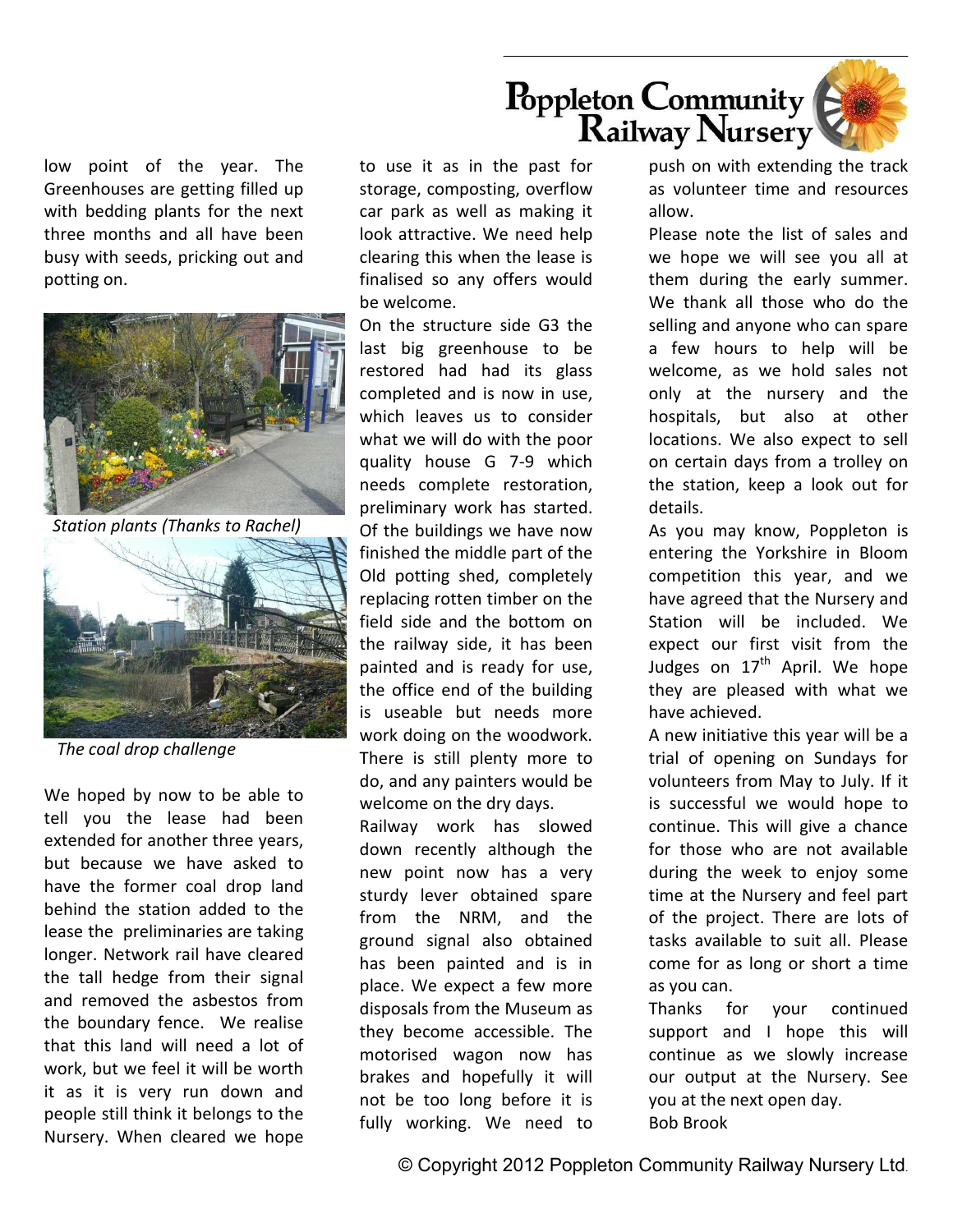

low point of the year. The Greenhouses are getting filled up with bedding plants for the next three months and all have been busy with seeds, pricking out and potting on.



*Station plants (Thanks to Rachel)* 



 *The coal drop challenge* 

We hoped by now to be able to tell you the lease had been extended for another three years, but because we have asked to have the former coal drop land behind the station added to the lease the preliminaries are taking longer. Network rail have cleared the tall hedge from their signal and removed the asbestos from the boundary fence. We realise that this land will need a lot of work, but we feel it will be worth it as it is very run down and people still think it belongs to the Nursery. When cleared we hope

to use it as in the past for storage, composting, overflow car park as well as making it look attractive. We need help clearing this when the lease is finalised so any offers would be welcome.

On the structure side G3 the last big greenhouse to be restored had had its glass completed and is now in use, which leaves us to consider what we will do with the poor quality house G 7-9 which needs complete restoration, preliminary work has started. Of the buildings we have now finished the middle part of the Old potting shed, completely replacing rotten timber on the field side and the bottom on the railway side, it has been painted and is ready for use, the office end of the building is useable but needs more work doing on the woodwork. There is still plenty more to do, and any painters would be welcome on the dry days. Railway work has slowed down recently although the new point now has a very sturdy lever obtained spare from the NRM, and the

ground signal also obtained has been painted and is in place. We expect a few more disposals from the Museum as they become accessible. The motorised wagon now has brakes and hopefully it will not be too long before it is fully working. We need to

push on with extending the track as volunteer time and resources allow.

Please note the list of sales and we hope we will see you all at them during the early summer. We thank all those who do the selling and anyone who can spare a few hours to help will be welcome, as we hold sales not only at the nursery and the hospitals, but also at other locations. We also expect to sell on certain days from a trolley on the station, keep a look out for details.

As you may know, Poppleton is entering the Yorkshire in Bloom competition this year, and we have agreed that the Nursery and Station will be included. We expect our first visit from the Judges on  $17<sup>th</sup>$  April. We hope they are pleased with what we have achieved.

A new initiative this year will be a trial of opening on Sundays for volunteers from May to July. If it is successful we would hope to continue. This will give a chance for those who are not available during the week to enjoy some time at the Nursery and feel part of the project. There are lots of tasks available to suit all. Please come for as long or short a time as you can.

Thanks for your continued support and I hope this will continue as we slowly increase our output at the Nursery. See you at the next open day. Bob Brook